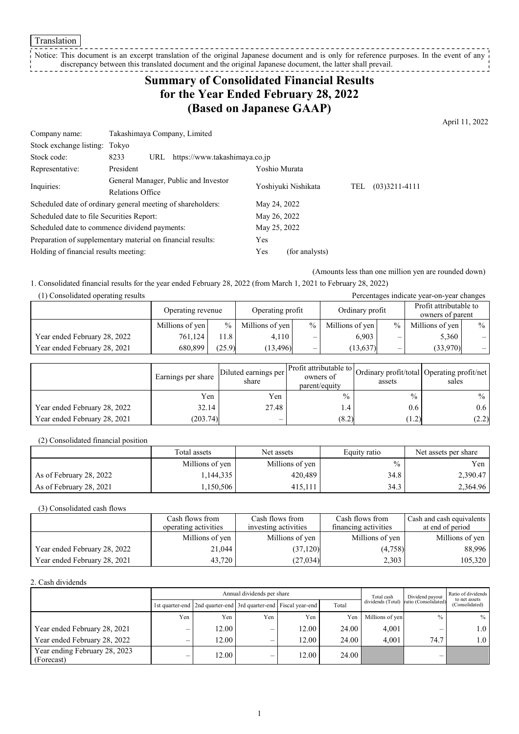**Translation** 

#### \_\_\_\_\_\_\_\_\_\_\_\_\_\_\_\_\_\_\_\_\_\_\_ Notice: This document is an excerpt translation of the original Japanese document and is only for reference purposes. In the event of any discrepancy between this translated document and the original Japanese document, the latter shall prevail.

# **Summary of Consolidated Financial Results for the Year Ended February 28, 2022 (Based on Japanese GAAP)**

April 11, 2022

| Company name:                                               | Takashimaya Company, Limited                                |                     |  |     |                 |
|-------------------------------------------------------------|-------------------------------------------------------------|---------------------|--|-----|-----------------|
| Stock exchange listing: Tokyo                               |                                                             |                     |  |     |                 |
| Stock code:                                                 | https://www.takashimaya.co.jp<br>8233<br>URL                |                     |  |     |                 |
| Representative:                                             | President                                                   | Yoshio Murata       |  |     |                 |
| Inquiries:                                                  | General Manager, Public and Investor                        | Yoshiyuki Nishikata |  | TEL | $(03)3211-4111$ |
|                                                             | Relations Office                                            |                     |  |     |                 |
|                                                             | Scheduled date of ordinary general meeting of shareholders: | May 24, 2022        |  |     |                 |
| Scheduled date to file Securities Report:                   |                                                             | May 26, 2022        |  |     |                 |
| Scheduled date to commence dividend payments:               |                                                             | May 25, 2022        |  |     |                 |
| Preparation of supplementary material on financial results: |                                                             | Yes                 |  |     |                 |
| Holding of financial results meeting:                       | Yes                                                         | (for analysts)      |  |     |                 |

(Amounts less than one million yen are rounded down)

1. Consolidated financial results for the year ended February 28, 2022 (from March 1, 2021 to February 28, 2022)

| (1) Consolidated operating results<br>Percentages indicate year-on-year changes |                   |               |                  |                          |                 |      |                                            |      |
|---------------------------------------------------------------------------------|-------------------|---------------|------------------|--------------------------|-----------------|------|--------------------------------------------|------|
|                                                                                 | Operating revenue |               | Operating profit |                          | Ordinary profit |      | Profit attributable to<br>owners of parent |      |
|                                                                                 | Millions of yen   | $\frac{0}{0}$ | Millions of yen  | $\%$                     | Millions of yen | $\%$ | Millions of yen                            | $\%$ |
| Year ended February 28, 2022                                                    | 761,124           | 11.8          | 4.110            | —                        | 6,903           |      | 5,360                                      | $-1$ |
| Year ended February 28, 2021                                                    | 680,899           | (25.9)        | (13.496)         | $\overline{\phantom{0}}$ | (13,637)        | —    | (33,970)                                   | $-1$ |

|                              | Earnings per share | Diluted earnings per<br>share | Profit attributable to<br>owners of<br>parent/equity | assets        | Ordinary profit/total Operating profit/net<br>sales |
|------------------------------|--------------------|-------------------------------|------------------------------------------------------|---------------|-----------------------------------------------------|
|                              | Yen                | Yen                           | $\%$                                                 | $\frac{0}{0}$ | $\%$                                                |
| Year ended February 28, 2022 | 32.14              | 27.48                         | $\cdot$ 4                                            | 0.6           | 0.6 <sub>1</sub>                                    |
| Year ended February 28, 2021 | (203.74)           | $\overline{\phantom{0}}$      | (8.2)                                                | (1.2)         | (2.2)                                               |

(2) Consolidated financial position

|                         | Total assets    | Net assets      | Equity ratio  | Net assets per share |
|-------------------------|-----------------|-----------------|---------------|----------------------|
|                         | Millions of yen | Millions of yen | $\frac{0}{0}$ | Yen                  |
| As of February 28, 2022 | 1,144,335       | 420.489         | 34.8          | 2,390.47             |
| As of February 28, 2021 | 1.150.506       | 415.111         | 34.3          | 2,364.96             |

(3) Consolidated cash flows

|                              | Cash flows from<br>operating activities | Cash flows from<br>investing activities | Cash flows from<br>financing activities | Cash and cash equivalents<br>at end of period |
|------------------------------|-----------------------------------------|-----------------------------------------|-----------------------------------------|-----------------------------------------------|
|                              | Millions of yen                         | Millions of yen                         | Millions of yen                         | Millions of yen                               |
| Year ended February 28, 2022 | 21,044                                  | (37,120)                                | (4,758)                                 | 88,996                                        |
| Year ended February 28, 2021 | 43.720                                  | (27,034)                                | 2,303                                   | 105,320                                       |

2. Cash dividends

| Annual dividends per share                  |                          |                                                                       |                          |       | Total cash | Dividend payout | Ratio of dividends<br>to net assets    |                  |
|---------------------------------------------|--------------------------|-----------------------------------------------------------------------|--------------------------|-------|------------|-----------------|----------------------------------------|------------------|
|                                             |                          | 1st quarter-end   2nd quarter-end   3rd quarter-end   Fiscal year-end |                          |       | Total      |                 | dividends (Total) ratio (Consolidated) | (Consolidated)   |
|                                             | Yen                      | Yen                                                                   | Yen                      | Yen   | Yen        | Millions of yen | $\frac{0}{0}$                          | $\%$             |
| Year ended February 28, 2021                | –                        | 12.00                                                                 | —                        | 12.00 | 24.00      | 4.001           |                                        | 1.0 <sub>1</sub> |
| Year ended February 28, 2022                | $\overline{\phantom{0}}$ | 12.00                                                                 | $\overline{\phantom{0}}$ | 12.00 | 24.00      | 4.001           | 74.7                                   | 1.0 <sub>1</sub> |
| Year ending February 28, 2023<br>(Forecast) | $\overline{\phantom{0}}$ | 12.00                                                                 | —                        | 12.00 | 24.00      |                 |                                        |                  |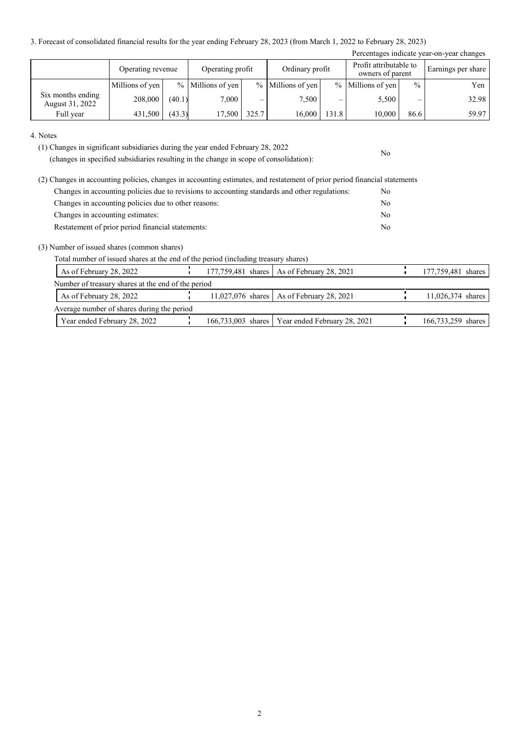3. Forecast of consolidated financial results for the year ending February 28, 2023 (from March 1, 2022 to February 28, 2023)

| Percentages indicate year-on-year changes |                   |        |                     |       |                     |       |                                            |               |                    |
|-------------------------------------------|-------------------|--------|---------------------|-------|---------------------|-------|--------------------------------------------|---------------|--------------------|
|                                           | Operating revenue |        | Operating profit    |       | Ordinary profit     |       | Profit attributable to<br>owners of parent |               | Earnings per share |
|                                           | Millions of yen   |        | $%$ Millions of yen |       | $%$ Millions of yen |       | $%$ Millions of yen                        | $\frac{0}{0}$ | Yen                |
| Six months ending<br>August 31, 2022      | 208,000           | (40.1) | 7,000               |       | 7.500               | –     | 5,500                                      | –             | 32.98              |
| Full year                                 | 431,500           | (43.3) | 17,500              | 325.7 | 16,000              | 131.8 | 10,000                                     | 86.6          | 59.97              |

No

#### 4. Notes

(1) Changes in significant subsidiaries during the year ended February 28, 2022

(changes in specified subsidiaries resulting in the change in scope of consolidation):

| (2) Changes in accounting policies, changes in accounting estimates, and restatement of prior period financial statements |     |
|---------------------------------------------------------------------------------------------------------------------------|-----|
| Changes in accounting policies due to revisions to accounting standards and other regulations:                            | No. |
| Changes in accounting policies due to other reasons:                                                                      | No  |
| Changes in accounting estimates:                                                                                          | No  |
| Restatement of prior period financial statements:                                                                         | No  |

(3) Number of issued shares (common shares)

Total number of issued shares at the end of the period (including treasury shares)

| As of February 28, 2022                            |  | 177,759,481 shares   As of February 28, 2021      | 177,759,481 shares |
|----------------------------------------------------|--|---------------------------------------------------|--------------------|
| Number of treasury shares at the end of the period |  |                                                   |                    |
| As of February 28, 2022                            |  | 11,027,076 shares As of February 28, 2021         | 11,026,374 shares  |
| Average number of shares during the period         |  |                                                   |                    |
| Year ended February 28, 2022                       |  | 166,733,003 shares   Year ended February 28, 2021 | 166,733,259 shares |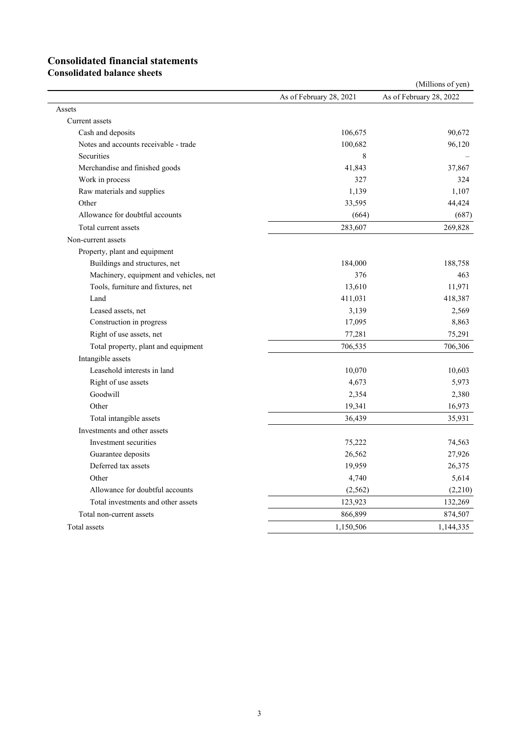# **Consolidated financial statements**

**Consolidated balance sheets**

|                                        |                         | (Millions of yen)       |
|----------------------------------------|-------------------------|-------------------------|
|                                        | As of February 28, 2021 | As of February 28, 2022 |
| Assets                                 |                         |                         |
| Current assets                         |                         |                         |
| Cash and deposits                      | 106,675                 | 90,672                  |
| Notes and accounts receivable - trade  | 100,682                 | 96,120                  |
| <b>Securities</b>                      | 8                       |                         |
| Merchandise and finished goods         | 41,843                  | 37,867                  |
| Work in process                        | 327                     | 324                     |
| Raw materials and supplies             | 1,139                   | 1,107                   |
| Other                                  | 33,595                  | 44,424                  |
| Allowance for doubtful accounts        | (664)                   | (687)                   |
| Total current assets                   | 283,607                 | 269,828                 |
| Non-current assets                     |                         |                         |
| Property, plant and equipment          |                         |                         |
| Buildings and structures, net          | 184,000                 | 188,758                 |
| Machinery, equipment and vehicles, net | 376                     | 463                     |
| Tools, furniture and fixtures, net     | 13,610                  | 11,971                  |
| Land                                   | 411,031                 | 418,387                 |
| Leased assets, net                     | 3,139                   | 2,569                   |
| Construction in progress               | 17,095                  | 8,863                   |
| Right of use assets, net               | 77,281                  | 75,291                  |
| Total property, plant and equipment    | 706,535                 | 706,306                 |
| Intangible assets                      |                         |                         |
| Leasehold interests in land            | 10,070                  | 10,603                  |
| Right of use assets                    | 4,673                   | 5,973                   |
| Goodwill                               | 2,354                   | 2,380                   |
| Other                                  | 19,341                  | 16,973                  |
| Total intangible assets                | 36,439                  | 35,931                  |
| Investments and other assets           |                         |                         |
| Investment securities                  | 75,222                  | 74,563                  |
| Guarantee deposits                     | 26,562                  | 27,926                  |
| Deferred tax assets                    | 19,959                  | 26,375                  |
| Other                                  | 4,740                   | 5,614                   |
| Allowance for doubtful accounts        | (2,562)                 | (2,210)                 |
| Total investments and other assets     | 123,923                 | 132,269                 |
| Total non-current assets               | 866,899                 | 874,507                 |
| Total assets                           | 1,150,506               | 1,144,335               |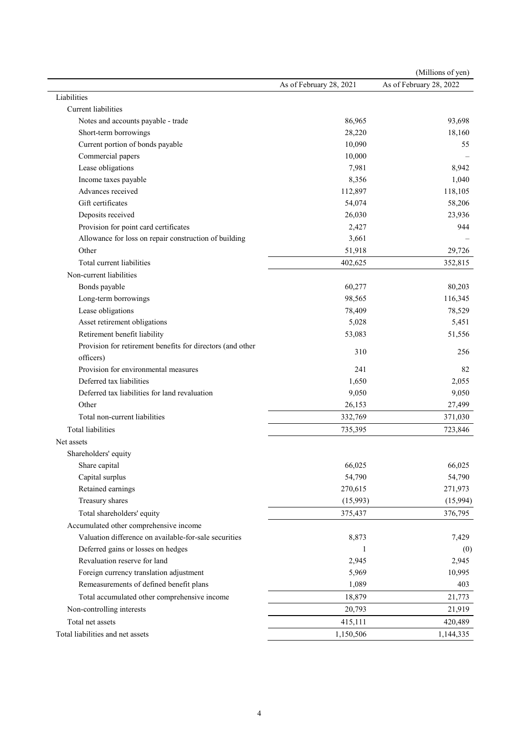|                                                            |                         | (Millions of yen)       |
|------------------------------------------------------------|-------------------------|-------------------------|
|                                                            | As of February 28, 2021 | As of February 28, 2022 |
| Liabilities                                                |                         |                         |
| Current liabilities                                        |                         |                         |
| Notes and accounts payable - trade                         | 86,965                  | 93,698                  |
| Short-term borrowings                                      | 28,220                  | 18,160                  |
| Current portion of bonds payable                           | 10,090                  | 55                      |
| Commercial papers                                          | 10,000                  |                         |
| Lease obligations                                          | 7,981                   | 8,942                   |
| Income taxes payable                                       | 8,356                   | 1,040                   |
| Advances received                                          | 112,897                 | 118,105                 |
| Gift certificates                                          | 54,074                  | 58,206                  |
| Deposits received                                          | 26,030                  | 23,936                  |
| Provision for point card certificates                      | 2,427                   | 944                     |
| Allowance for loss on repair construction of building      | 3,661                   |                         |
| Other                                                      | 51,918                  | 29,726                  |
| Total current liabilities                                  | 402,625                 | 352,815                 |
| Non-current liabilities                                    |                         |                         |
| Bonds payable                                              | 60,277                  | 80,203                  |
| Long-term borrowings                                       | 98,565                  | 116,345                 |
| Lease obligations                                          | 78,409                  | 78,529                  |
| Asset retirement obligations                               | 5,028                   | 5,451                   |
| Retirement benefit liability                               | 53,083                  | 51,556                  |
| Provision for retirement benefits for directors (and other |                         |                         |
| officers)                                                  | 310                     | 256                     |
| Provision for environmental measures                       | 241                     | 82                      |
| Deferred tax liabilities                                   | 1,650                   | 2,055                   |
| Deferred tax liabilities for land revaluation              | 9,050                   | 9,050                   |
| Other                                                      | 26,153                  | 27,499                  |
| Total non-current liabilities                              | 332,769                 | 371,030                 |
| <b>Total liabilities</b>                                   | 735,395                 | 723,846                 |
| Net assets                                                 |                         |                         |
| Shareholders' equity                                       |                         |                         |
| Share capital                                              | 66,025                  | 66,025                  |
| Capital surplus                                            | 54,790                  | 54,790                  |
| Retained earnings                                          | 270,615                 | 271,973                 |
| Treasury shares                                            | (15,993)                | (15,994)                |
| Total shareholders' equity                                 | 375,437                 | 376,795                 |
| Accumulated other comprehensive income                     |                         |                         |
| Valuation difference on available-for-sale securities      | 8,873                   | 7,429                   |
| Deferred gains or losses on hedges                         | 1                       | (0)                     |
| Revaluation reserve for land                               | 2,945                   | 2,945                   |
| Foreign currency translation adjustment                    | 5,969                   | 10,995                  |
| Remeasurements of defined benefit plans                    | 1,089                   | 403                     |
| Total accumulated other comprehensive income               | 18,879                  | 21,773                  |
|                                                            |                         |                         |
| Non-controlling interests                                  | 20,793                  | 21,919                  |
| Total net assets                                           | 415,111                 | 420,489                 |
| Total liabilities and net assets                           | 1,150,506               | 1,144,335               |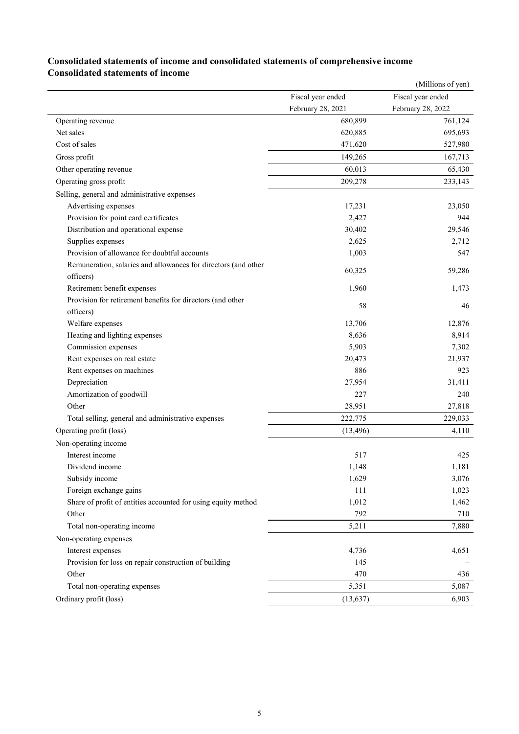|                                                                |                   | (Millions of yen) |
|----------------------------------------------------------------|-------------------|-------------------|
|                                                                | Fiscal year ended | Fiscal year ended |
|                                                                | February 28, 2021 | February 28, 2022 |
| Operating revenue                                              | 680,899           | 761,124           |
| Net sales                                                      | 620,885           | 695,693           |
| Cost of sales                                                  | 471,620           | 527,980           |
| Gross profit                                                   | 149,265           | 167,713           |
| Other operating revenue                                        | 60,013            | 65,430            |
| Operating gross profit                                         | 209,278           | 233,143           |
| Selling, general and administrative expenses                   |                   |                   |
| Advertising expenses                                           | 17,231            | 23,050            |
| Provision for point card certificates                          | 2,427             | 944               |
| Distribution and operational expense                           | 30,402            | 29,546            |
| Supplies expenses                                              | 2,625             | 2,712             |
| Provision of allowance for doubtful accounts                   | 1,003             | 547               |
| Remuneration, salaries and allowances for directors (and other |                   |                   |
| officers)                                                      | 60,325            | 59,286            |
| Retirement benefit expenses                                    | 1,960             | 1,473             |
| Provision for retirement benefits for directors (and other     | 58                | 46                |
| officers)                                                      |                   |                   |
| Welfare expenses                                               | 13,706            | 12,876            |
| Heating and lighting expenses                                  | 8,636             | 8,914             |
| Commission expenses                                            | 5,903             | 7,302             |
| Rent expenses on real estate                                   | 20,473            | 21,937            |
| Rent expenses on machines                                      | 886               | 923               |
| Depreciation                                                   | 27,954            | 31,411            |
| Amortization of goodwill                                       | 227               | 240               |
| Other                                                          | 28,951            | 27,818            |
| Total selling, general and administrative expenses             | 222,775           | 229,033           |
| Operating profit (loss)                                        | (13, 496)         | 4,110             |
| Non-operating income                                           |                   |                   |
| Interest income                                                | 517               | 425               |
| Dividend income                                                | 1,148             | 1,181             |
| Subsidy income                                                 | 1,629             | 3,076             |
| Foreign exchange gains                                         | 111               | 1,023             |
| Share of profit of entities accounted for using equity method  | 1,012             | 1,462             |
| Other                                                          | 792               | 710               |
| Total non-operating income                                     | 5,211             | 7,880             |
| Non-operating expenses                                         |                   |                   |
| Interest expenses                                              | 4,736             | 4,651             |
| Provision for loss on repair construction of building          | 145               |                   |
| Other                                                          | 470               | 436               |
| Total non-operating expenses                                   | 5,351             | 5,087             |
| Ordinary profit (loss)                                         | (13, 637)         | 6,903             |

### **Consolidated statements of income and consolidated statements of comprehensive income Consolidated statements of income**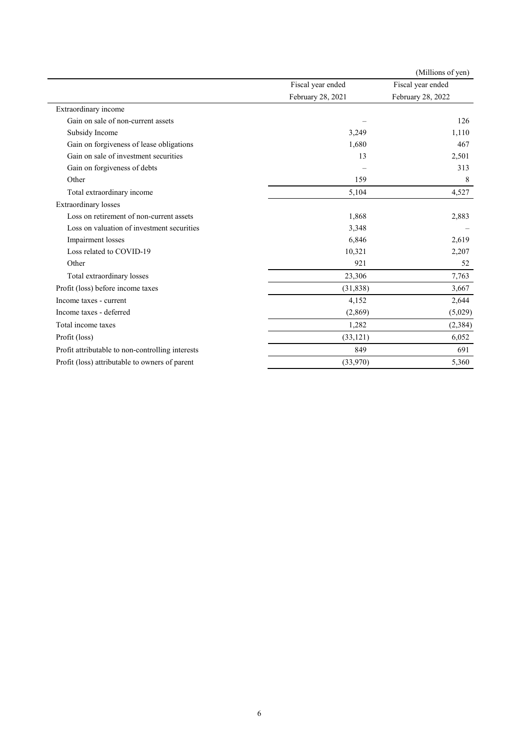|                                                  |                   | (Millions of yen) |
|--------------------------------------------------|-------------------|-------------------|
|                                                  | Fiscal year ended | Fiscal year ended |
|                                                  | February 28, 2021 | February 28, 2022 |
| Extraordinary income                             |                   |                   |
| Gain on sale of non-current assets               |                   | 126               |
| Subsidy Income                                   | 3,249             | 1,110             |
| Gain on forgiveness of lease obligations         | 1,680             | 467               |
| Gain on sale of investment securities            | 13                | 2,501             |
| Gain on forgiveness of debts                     |                   | 313               |
| Other                                            | 159               | 8                 |
| Total extraordinary income                       | 5,104             | 4,527             |
| <b>Extraordinary losses</b>                      |                   |                   |
| Loss on retirement of non-current assets         | 1,868             | 2,883             |
| Loss on valuation of investment securities       | 3,348             |                   |
| Impairment losses                                | 6,846             | 2,619             |
| Loss related to COVID-19                         | 10,321            | 2,207             |
| Other                                            | 921               | 52                |
| Total extraordinary losses                       | 23,306            | 7,763             |
| Profit (loss) before income taxes                | (31,838)          | 3,667             |
| Income taxes - current                           | 4,152             | 2,644             |
| Income taxes - deferred                          | (2,869)           | (5,029)           |
| Total income taxes                               | 1,282             | (2, 384)          |
| Profit (loss)                                    | (33, 121)         | 6,052             |
| Profit attributable to non-controlling interests | 849               | 691               |
| Profit (loss) attributable to owners of parent   | (33,970)          | 5,360             |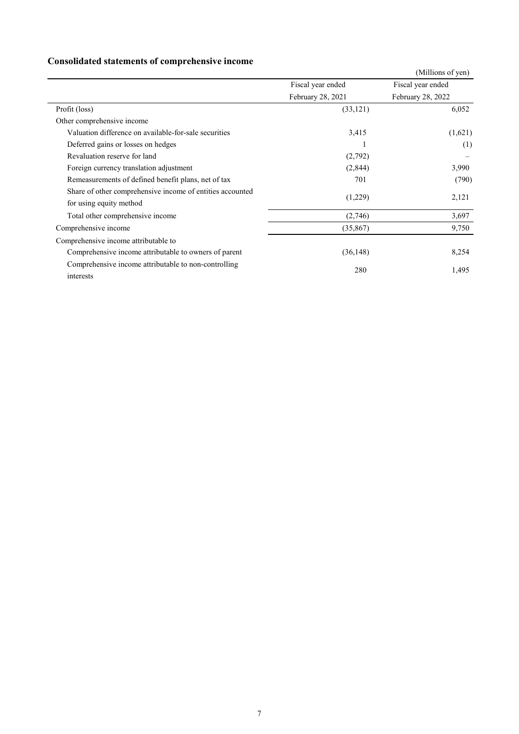# **Consolidated statements of comprehensive income**

|                                                           |                   | (Millions of yen) |
|-----------------------------------------------------------|-------------------|-------------------|
|                                                           | Fiscal year ended | Fiscal year ended |
|                                                           | February 28, 2021 | February 28, 2022 |
| Profit (loss)                                             | (33, 121)         | 6,052             |
| Other comprehensive income                                |                   |                   |
| Valuation difference on available-for-sale securities     | 3,415             | (1,621)           |
| Deferred gains or losses on hedges                        |                   | (1)               |
| Revaluation reserve for land                              | (2,792)           |                   |
| Foreign currency translation adjustment                   | (2,844)           | 3,990             |
| Remeasurements of defined benefit plans, net of tax       | 701               | (790)             |
| Share of other comprehensive income of entities accounted |                   |                   |
| for using equity method                                   | (1,229)           | 2,121             |
| Total other comprehensive income                          | (2,746)           | 3,697             |
| Comprehensive income                                      | (35,867)          | 9,750             |
| Comprehensive income attributable to                      |                   |                   |
| Comprehensive income attributable to owners of parent     | (36, 148)         | 8,254             |
| Comprehensive income attributable to non-controlling      |                   |                   |
| interests                                                 | 280               | 1,495             |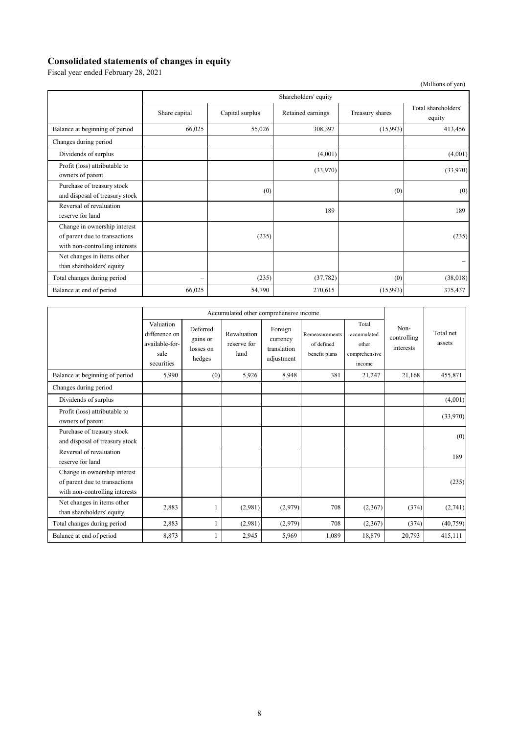# **Consolidated statements of changes in equity**

Fiscal year ended February 28, 2021

|                                                                                                 | Shareholders' equity     |                 |                   |                 |                               |  |  |
|-------------------------------------------------------------------------------------------------|--------------------------|-----------------|-------------------|-----------------|-------------------------------|--|--|
|                                                                                                 | Share capital            | Capital surplus | Retained earnings | Treasury shares | Total shareholders'<br>equity |  |  |
| Balance at beginning of period                                                                  | 66,025                   | 55,026          | 308,397           | (15,993)        | 413,456                       |  |  |
| Changes during period                                                                           |                          |                 |                   |                 |                               |  |  |
| Dividends of surplus                                                                            |                          |                 | (4,001)           |                 | (4,001)                       |  |  |
| Profit (loss) attributable to<br>owners of parent                                               |                          |                 | (33,970)          |                 | (33,970)                      |  |  |
| Purchase of treasury stock<br>and disposal of treasury stock                                    |                          | (0)             |                   | (0)             | (0)                           |  |  |
| Reversal of revaluation<br>reserve for land                                                     |                          |                 | 189               |                 | 189                           |  |  |
| Change in ownership interest<br>of parent due to transactions<br>with non-controlling interests |                          | (235)           |                   |                 | (235)                         |  |  |
| Net changes in items other<br>than shareholders' equity                                         |                          |                 |                   |                 |                               |  |  |
| Total changes during period                                                                     | $\overline{\phantom{0}}$ | (235)           | (37, 782)         | (0)             | (38,018)                      |  |  |
| Balance at end of period                                                                        | 66,025                   | 54,790          | 270,615           | (15,993)        | 375,437                       |  |  |

|                                                                                                 | Accumulated other comprehensive income                             |                                             |                                    |                                                  |                                               |                                                          |                                  |                     |
|-------------------------------------------------------------------------------------------------|--------------------------------------------------------------------|---------------------------------------------|------------------------------------|--------------------------------------------------|-----------------------------------------------|----------------------------------------------------------|----------------------------------|---------------------|
|                                                                                                 | Valuation<br>difference on<br>available-for-<br>sale<br>securities | Deferred<br>gains or<br>losses on<br>hedges | Revaluation<br>reserve for<br>land | Foreign<br>currency<br>translation<br>adjustment | Remeasurements<br>of defined<br>benefit plans | Total<br>accumulated<br>other<br>comprehensive<br>income | Non-<br>controlling<br>interests | Total net<br>assets |
| Balance at beginning of period                                                                  | 5,990                                                              | (0)                                         | 5,926                              | 8,948                                            | 381                                           | 21,247                                                   | 21,168                           | 455,871             |
| Changes during period                                                                           |                                                                    |                                             |                                    |                                                  |                                               |                                                          |                                  |                     |
| Dividends of surplus                                                                            |                                                                    |                                             |                                    |                                                  |                                               |                                                          |                                  | (4,001)             |
| Profit (loss) attributable to<br>owners of parent                                               |                                                                    |                                             |                                    |                                                  |                                               |                                                          |                                  | (33,970)            |
| Purchase of treasury stock<br>and disposal of treasury stock                                    |                                                                    |                                             |                                    |                                                  |                                               |                                                          |                                  | (0)                 |
| Reversal of revaluation<br>reserve for land                                                     |                                                                    |                                             |                                    |                                                  |                                               |                                                          |                                  | 189                 |
| Change in ownership interest<br>of parent due to transactions<br>with non-controlling interests |                                                                    |                                             |                                    |                                                  |                                               |                                                          |                                  | (235)               |
| Net changes in items other<br>than shareholders' equity                                         | 2,883                                                              |                                             | (2,981)                            | (2,979)                                          | 708                                           | (2,367)                                                  | (374)                            | (2,741)             |
| Total changes during period                                                                     | 2,883                                                              | 1                                           | (2,981)                            | (2,979)                                          | 708                                           | (2,367)                                                  | (374)                            | (40,759)            |
| Balance at end of period                                                                        | 8,873                                                              | 1                                           | 2,945                              | 5,969                                            | 1,089                                         | 18,879                                                   | 20,793                           | 415,111             |

(Millions of yen)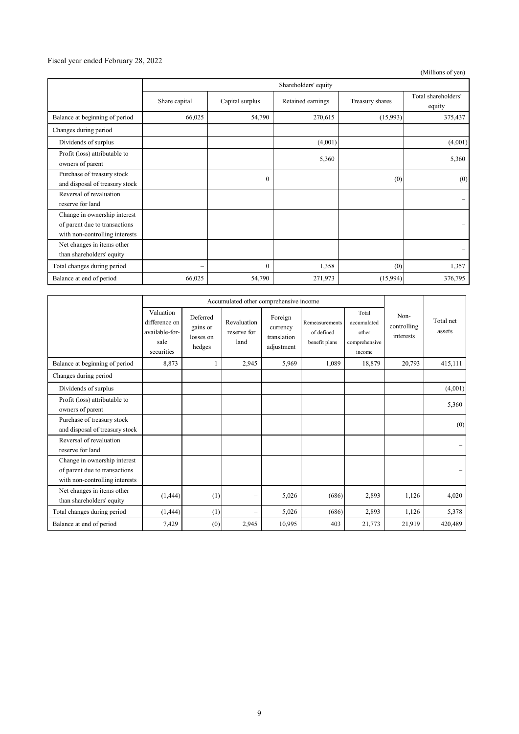#### Fiscal year ended February 28, 2022

(Millions of yen)

|                                                                                                 | Shareholders' equity     |                 |                   |                 |                               |
|-------------------------------------------------------------------------------------------------|--------------------------|-----------------|-------------------|-----------------|-------------------------------|
|                                                                                                 | Share capital            | Capital surplus | Retained earnings | Treasury shares | Total shareholders'<br>equity |
| Balance at beginning of period                                                                  | 66,025                   | 54,790          | 270,615           | (15,993)        | 375,437                       |
| Changes during period                                                                           |                          |                 |                   |                 |                               |
| Dividends of surplus                                                                            |                          |                 | (4,001)           |                 | (4,001)                       |
| Profit (loss) attributable to<br>owners of parent                                               |                          |                 | 5,360             |                 | 5,360                         |
| Purchase of treasury stock<br>and disposal of treasury stock                                    |                          | $\theta$        |                   | (0)             | (0)                           |
| Reversal of revaluation<br>reserve for land                                                     |                          |                 |                   |                 |                               |
| Change in ownership interest<br>of parent due to transactions<br>with non-controlling interests |                          |                 |                   |                 |                               |
| Net changes in items other<br>than shareholders' equity                                         |                          |                 |                   |                 |                               |
| Total changes during period                                                                     | $\overline{\phantom{0}}$ | $\mathbf{0}$    | 1,358             | (0)             | 1,357                         |
| Balance at end of period                                                                        | 66,025                   | 54,790          | 271,973           | (15,994)        | 376,795                       |

|                                                                                                 | Accumulated other comprehensive income                             |                                             |                                    |                                                  |                                               |                                                          |                                  |                          |
|-------------------------------------------------------------------------------------------------|--------------------------------------------------------------------|---------------------------------------------|------------------------------------|--------------------------------------------------|-----------------------------------------------|----------------------------------------------------------|----------------------------------|--------------------------|
|                                                                                                 | Valuation<br>difference on<br>available-for-<br>sale<br>securities | Deferred<br>gains or<br>losses on<br>hedges | Revaluation<br>reserve for<br>land | Foreign<br>currency<br>translation<br>adjustment | Remeasurements<br>of defined<br>benefit plans | Total<br>accumulated<br>other<br>comprehensive<br>income | Non-<br>controlling<br>interests | Total net<br>assets      |
| Balance at beginning of period                                                                  | 8,873                                                              |                                             | 2,945                              | 5,969                                            | 1,089                                         | 18,879                                                   | 20,793                           | 415,111                  |
| Changes during period                                                                           |                                                                    |                                             |                                    |                                                  |                                               |                                                          |                                  |                          |
| Dividends of surplus                                                                            |                                                                    |                                             |                                    |                                                  |                                               |                                                          |                                  | (4,001)                  |
| Profit (loss) attributable to<br>owners of parent                                               |                                                                    |                                             |                                    |                                                  |                                               |                                                          |                                  | 5,360                    |
| Purchase of treasury stock<br>and disposal of treasury stock                                    |                                                                    |                                             |                                    |                                                  |                                               |                                                          |                                  | (0)                      |
| Reversal of revaluation<br>reserve for land                                                     |                                                                    |                                             |                                    |                                                  |                                               |                                                          |                                  | $\overline{\phantom{m}}$ |
| Change in ownership interest<br>of parent due to transactions<br>with non-controlling interests |                                                                    |                                             |                                    |                                                  |                                               |                                                          |                                  |                          |
| Net changes in items other<br>than shareholders' equity                                         | (1,444)                                                            | (1)                                         |                                    | 5,026                                            | (686)                                         | 2,893                                                    | 1,126                            | 4,020                    |
| Total changes during period                                                                     | (1,444)                                                            | (1)                                         |                                    | 5,026                                            | (686)                                         | 2,893                                                    | 1,126                            | 5,378                    |
| Balance at end of period                                                                        | 7.429                                                              | (0)                                         | 2,945                              | 10,995                                           | 403                                           | 21,773                                                   | 21,919                           | 420,489                  |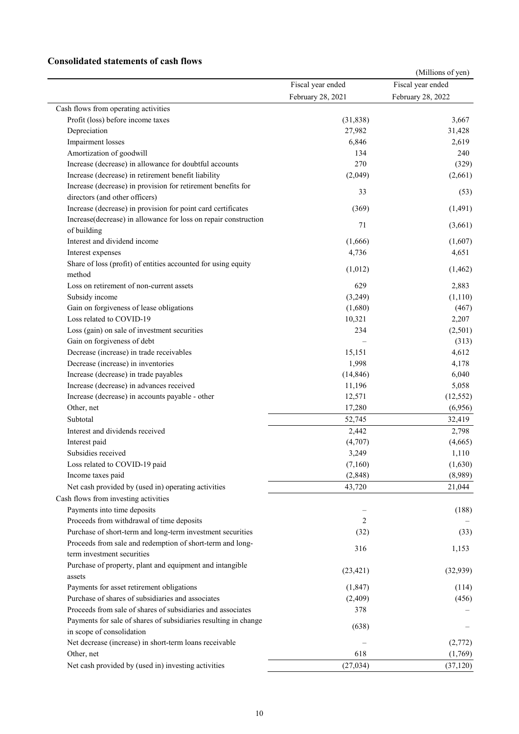### **Consolidated statements of cash flows**

|                                                                 |                   | (Millions of yen) |
|-----------------------------------------------------------------|-------------------|-------------------|
|                                                                 | Fiscal year ended | Fiscal year ended |
|                                                                 | February 28, 2021 | February 28, 2022 |
| Cash flows from operating activities                            |                   |                   |
| Profit (loss) before income taxes                               | (31, 838)         | 3,667             |
| Depreciation                                                    | 27,982            | 31,428            |
| Impairment losses                                               | 6,846             | 2,619             |
| Amortization of goodwill                                        | 134               | 240               |
| Increase (decrease) in allowance for doubtful accounts          | 270               | (329)             |
| Increase (decrease) in retirement benefit liability             | (2,049)           | (2,661)           |
| Increase (decrease) in provision for retirement benefits for    |                   |                   |
| directors (and other officers)                                  | 33                | (53)              |
| Increase (decrease) in provision for point card certificates    | (369)             | (1, 491)          |
| Increase(decrease) in allowance for loss on repair construction |                   |                   |
| of building                                                     | 71                | (3,661)           |
| Interest and dividend income                                    | (1,666)           | (1,607)           |
| Interest expenses                                               | 4,736             | 4,651             |
| Share of loss (profit) of entities accounted for using equity   |                   |                   |
| method                                                          | (1,012)           | (1, 462)          |
| Loss on retirement of non-current assets                        | 629               | 2,883             |
| Subsidy income                                                  | (3,249)           | (1,110)           |
| Gain on forgiveness of lease obligations                        | (1,680)           | (467)             |
| Loss related to COVID-19                                        | 10,321            | 2,207             |
| Loss (gain) on sale of investment securities                    | 234               | (2,501)           |
| Gain on forgiveness of debt                                     |                   | (313)             |
| Decrease (increase) in trade receivables                        | 15,151            | 4,612             |
| Decrease (increase) in inventories                              | 1,998             | 4,178             |
| Increase (decrease) in trade payables                           | (14, 846)         | 6,040             |
| Increase (decrease) in advances received                        | 11,196            | 5,058             |
| Increase (decrease) in accounts payable - other                 | 12,571            | (12, 552)         |
| Other, net                                                      | 17,280            | (6,956)           |
| Subtotal                                                        | 52,745            | 32,419            |
| Interest and dividends received                                 | 2,442             | 2,798             |
| Interest paid                                                   | (4,707)           | (4,665)           |
| Subsidies received                                              | 3,249             | 1,110             |
| Loss related to COVID-19 paid                                   | (7,160)           | (1,630)           |
| Income taxes paid                                               | (2,848)           | (8,989)           |
| Net cash provided by (used in) operating activities             | 43,720            | 21,044            |
| Cash flows from investing activities                            |                   |                   |
| Payments into time deposits                                     |                   | (188)             |
| Proceeds from withdrawal of time deposits                       | 2                 |                   |
| Purchase of short-term and long-term investment securities      | (32)              | (33)              |
| Proceeds from sale and redemption of short-term and long-       |                   |                   |
| term investment securities                                      | 316               | 1,153             |
| Purchase of property, plant and equipment and intangible        |                   |                   |
| assets                                                          | (23, 421)         | (32,939)          |
| Payments for asset retirement obligations                       | (1,847)           | (114)             |
| Purchase of shares of subsidiaries and associates               | (2,409)           | (456)             |
| Proceeds from sale of shares of subsidiaries and associates     | 378               |                   |
| Payments for sale of shares of subsidiaries resulting in change |                   |                   |
| in scope of consolidation                                       | (638)             |                   |
| Net decrease (increase) in short-term loans receivable          |                   | (2,772)           |
| Other, net                                                      | 618               | (1,769)           |
| Net cash provided by (used in) investing activities             | (27, 034)         | (37, 120)         |
|                                                                 |                   |                   |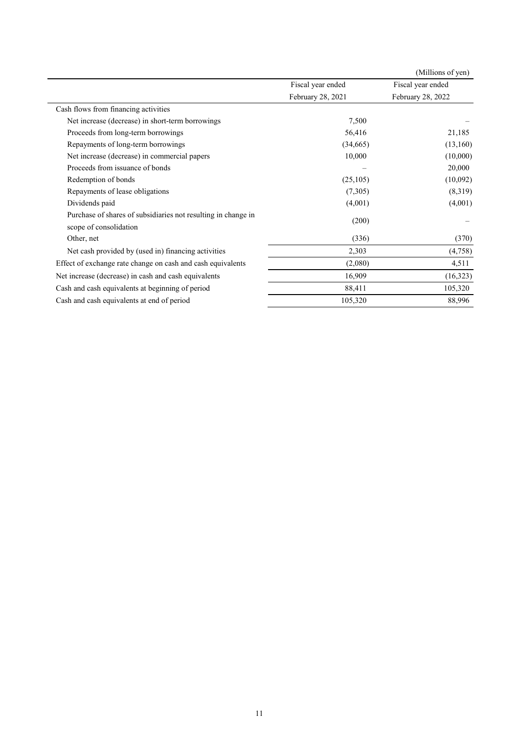|                                                               |                   | (Millions of yen) |
|---------------------------------------------------------------|-------------------|-------------------|
|                                                               | Fiscal year ended | Fiscal year ended |
|                                                               | February 28, 2021 | February 28, 2022 |
| Cash flows from financing activities                          |                   |                   |
| Net increase (decrease) in short-term borrowings              | 7,500             |                   |
| Proceeds from long-term borrowings                            | 56,416            | 21,185            |
| Repayments of long-term borrowings                            | (34,665)          | (13,160)          |
| Net increase (decrease) in commercial papers                  | 10,000            | (10,000)          |
| Proceeds from issuance of bonds                               |                   | 20,000            |
| Redemption of bonds                                           | (25,105)          | (10,092)          |
| Repayments of lease obligations                               | (7,305)           | (8,319)           |
| Dividends paid                                                | (4,001)           | (4,001)           |
| Purchase of shares of subsidiaries not resulting in change in | (200)             |                   |
| scope of consolidation                                        |                   |                   |
| Other, net                                                    | (336)             | (370)             |
| Net cash provided by (used in) financing activities           | 2,303             | (4,758)           |
| Effect of exchange rate change on cash and cash equivalents   | (2,080)           | 4,511             |
| Net increase (decrease) in cash and cash equivalents          | 16,909            | (16,323)          |
| Cash and cash equivalents at beginning of period              | 88,411            | 105,320           |
| Cash and cash equivalents at end of period                    | 105,320           | 88,996            |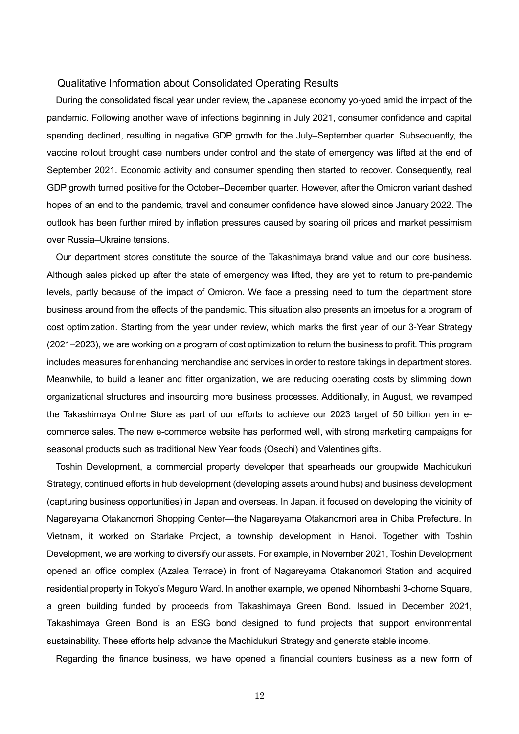#### Qualitative Information about Consolidated Operating Results

During the consolidated fiscal year under review, the Japanese economy yo-yoed amid the impact of the pandemic. Following another wave of infections beginning in July 2021, consumer confidence and capital spending declined, resulting in negative GDP growth for the July–September quarter. Subsequently, the vaccine rollout brought case numbers under control and the state of emergency was lifted at the end of September 2021. Economic activity and consumer spending then started to recover. Consequently, real GDP growth turned positive for the October–December quarter. However, after the Omicron variant dashed hopes of an end to the pandemic, travel and consumer confidence have slowed since January 2022. The outlook has been further mired by inflation pressures caused by soaring oil prices and market pessimism over Russia–Ukraine tensions.

Our department stores constitute the source of the Takashimaya brand value and our core business. Although sales picked up after the state of emergency was lifted, they are yet to return to pre-pandemic levels, partly because of the impact of Omicron. We face a pressing need to turn the department store business around from the effects of the pandemic. This situation also presents an impetus for a program of cost optimization. Starting from the year under review, which marks the first year of our 3-Year Strategy (2021–2023), we are working on a program of cost optimization to return the business to profit. This program includes measures for enhancing merchandise and services in order to restore takings in department stores. Meanwhile, to build a leaner and fitter organization, we are reducing operating costs by slimming down organizational structures and insourcing more business processes. Additionally, in August, we revamped the Takashimaya Online Store as part of our efforts to achieve our 2023 target of 50 billion yen in ecommerce sales. The new e-commerce website has performed well, with strong marketing campaigns for seasonal products such as traditional New Year foods (Osechi) and Valentines gifts.

Toshin Development, a commercial property developer that spearheads our groupwide Machidukuri Strategy, continued efforts in hub development (developing assets around hubs) and business development (capturing business opportunities) in Japan and overseas. In Japan, it focused on developing the vicinity of Nagareyama Otakanomori Shopping Center—the Nagareyama Otakanomori area in Chiba Prefecture. In Vietnam, it worked on Starlake Project, a township development in Hanoi. Together with Toshin Development, we are working to diversify our assets. For example, in November 2021, Toshin Development opened an office complex (Azalea Terrace) in front of Nagareyama Otakanomori Station and acquired residential property in Tokyo's Meguro Ward. In another example, we opened Nihombashi 3-chome Square, a green building funded by proceeds from Takashimaya Green Bond. Issued in December 2021, Takashimaya Green Bond is an ESG bond designed to fund projects that support environmental sustainability. These efforts help advance the Machidukuri Strategy and generate stable income.

Regarding the finance business, we have opened a financial counters business as a new form of